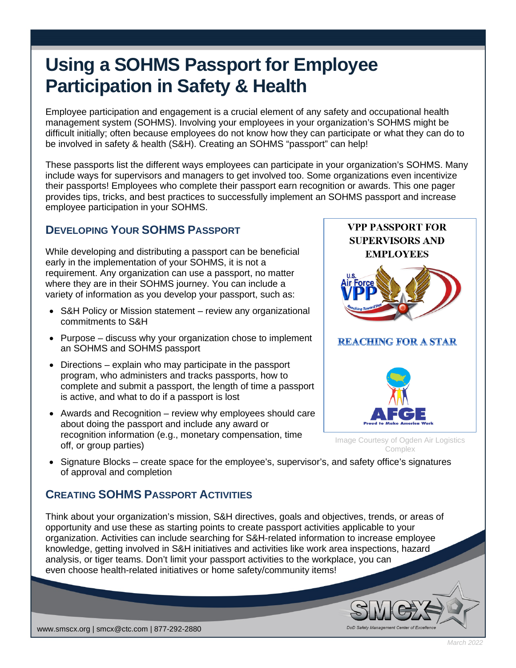## **Using a SOHMS Passport for Employee Participation in Safety & Health**

Employee participation and engagement is a crucial element of any safety and occupational health management system (SOHMS). Involving your employees in your organization's SOHMS might be difficult initially; often because employees do not know how they can participate or what they can do to be involved in safety & health (S&H). Creating an SOHMS "passport" can help!

These passports list the different ways employees can participate in your organization's SOHMS. Many include ways for supervisors and managers to get involved too. Some organizations even incentivize their passports! Employees who complete their passport earn recognition or awards. This one pager provides tips, tricks, and best practices to successfully implement an SOHMS passport and increase employee participation in your SOHMS.

## **DEVELOPING YOUR SOHMS PASSPORT**

While developing and distributing a passport can be beneficial early in the implementation of your SOHMS, it is not a requirement. Any organization can use a passport, no matter where they are in their SOHMS journey. You can include a variety of information as you develop your passport, such as:

- S&H Policy or Mission statement review any organizational commitments to S&H
- Purpose discuss why your organization chose to implement an SOHMS and SOHMS passport
- Directions explain who may participate in the passport program, who administers and tracks passports, how to complete and submit a passport, the length of time a passport is active, and what to do if a passport is lost
- Awards and Recognition review why employees should care about doing the passport and include any award or recognition information (e.g., monetary compensation, time off, or group parties)



• Signature Blocks – create space for the employee's, supervisor's, and safety office's signatures of approval and completion

## **CREATING SOHMS PASSPORT ACTIVITIES**

Think about your organization's mission, S&H directives, goals and objectives, trends, or areas of opportunity and use these as starting points to create passport activities applicable to your organization. Activities can include searching for S&H-related information to increase employee knowledge, getting involved in S&H initiatives and activities like work area inspections, hazard analysis, or tiger teams. Don't limit your passport activities to the workplace, you can even choose health-related initiatives or home safety/community items!



*March 2022*